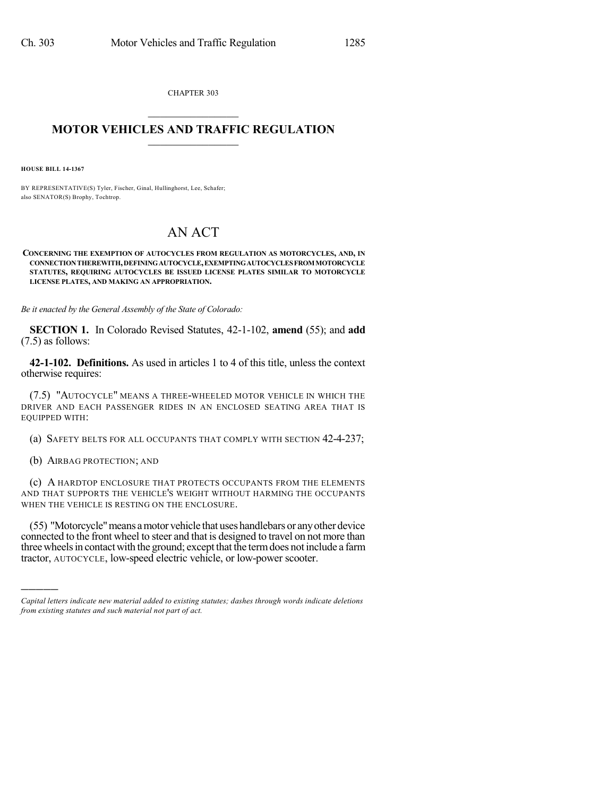CHAPTER 303  $\mathcal{L}_\text{max}$  . The set of the set of the set of the set of the set of the set of the set of the set of the set of the set of the set of the set of the set of the set of the set of the set of the set of the set of the set

## **MOTOR VEHICLES AND TRAFFIC REGULATION**  $\frac{1}{2}$  ,  $\frac{1}{2}$  ,  $\frac{1}{2}$  ,  $\frac{1}{2}$  ,  $\frac{1}{2}$  ,  $\frac{1}{2}$  ,  $\frac{1}{2}$

**HOUSE BILL 14-1367**

BY REPRESENTATIVE(S) Tyler, Fischer, Ginal, Hullinghorst, Lee, Schafer; also SENATOR(S) Brophy, Tochtrop.

## AN ACT

**CONCERNING THE EXEMPTION OF AUTOCYCLES FROM REGULATION AS MOTORCYCLES, AND, IN CONNECTIONTHEREWITH,DEFININGAUTOCYCLE,EXEMPTINGAUTOCYCLESFROMMOTORCYCLE STATUTES, REQUIRING AUTOCYCLES BE ISSUED LICENSE PLATES SIMILAR TO MOTORCYCLE LICENSE PLATES, AND MAKING AN APPROPRIATION.**

*Be it enacted by the General Assembly of the State of Colorado:*

**SECTION 1.** In Colorado Revised Statutes, 42-1-102, **amend** (55); and **add** (7.5) as follows:

**42-1-102. Definitions.** As used in articles 1 to 4 of this title, unless the context otherwise requires:

(7.5) "AUTOCYCLE" MEANS A THREE-WHEELED MOTOR VEHICLE IN WHICH THE DRIVER AND EACH PASSENGER RIDES IN AN ENCLOSED SEATING AREA THAT IS EQUIPPED WITH:

(a) SAFETY BELTS FOR ALL OCCUPANTS THAT COMPLY WITH SECTION 42-4-237;

(b) AIRBAG PROTECTION; AND

)))))

(c) A HARDTOP ENCLOSURE THAT PROTECTS OCCUPANTS FROM THE ELEMENTS AND THAT SUPPORTS THE VEHICLE'S WEIGHT WITHOUT HARMING THE OCCUPANTS WHEN THE VEHICLE IS RESTING ON THE ENCLOSURE.

(55) "Motorcycle"means amotor vehicle that uses handlebars or anyother device connected to the front wheel to steer and that is designed to travel on not more than three wheels in contact with the ground; except that the term does not include a farm tractor, AUTOCYCLE, low-speed electric vehicle, or low-power scooter.

*Capital letters indicate new material added to existing statutes; dashes through words indicate deletions from existing statutes and such material not part of act.*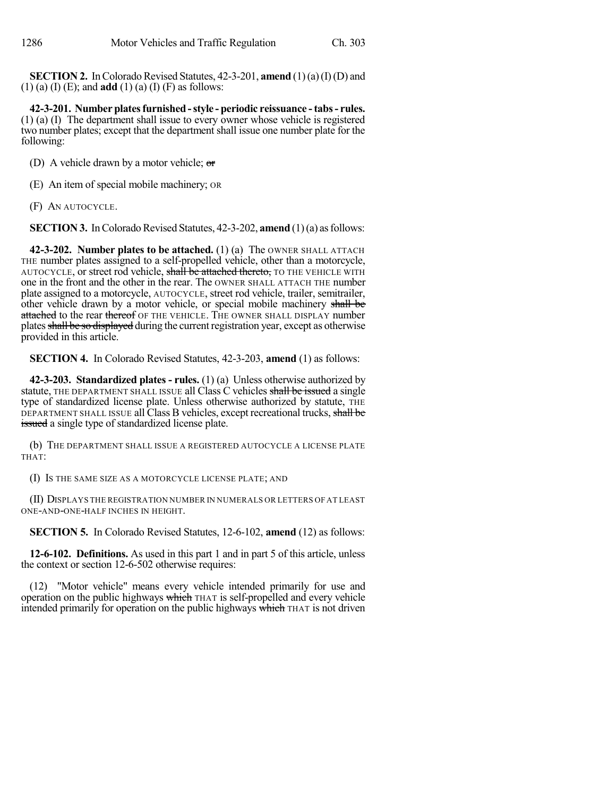**SECTION 2.** In Colorado Revised Statutes, 42-3-201, **amend** (1)(a)(I)(D) and (1) (a) (I) (E); and **add** (1) (a) (I) (F) as follows:

**42-3-201. Number platesfurnished-style - periodic reissuance -tabs- rules.** (1) (a) (I) The department shall issue to every owner whose vehicle is registered two number plates; except that the department shall issue one number plate for the following:

(D) A vehicle drawn by a motor vehicle;  $\sigma$ 

(E) An item of special mobile machinery; OR

(F) AN AUTOCYCLE.

**SECTION 3.** In Colorado Revised Statutes, 42-3-202, **amend** (1)(a) as follows:

**42-3-202. Number plates to be attached.** (1) (a) The OWNER SHALL ATTACH THE number plates assigned to a self-propelled vehicle, other than a motorcycle, AUTOCYCLE, or street rod vehicle, shall be attached thereto, TO THE VEHICLE WITH one in the front and the other in the rear. The OWNER SHALL ATTACH THE number plate assigned to a motorcycle, AUTOCYCLE, street rod vehicle, trailer, semitrailer, other vehicle drawn by a motor vehicle, or special mobile machinery shall be attached to the rear thereof OF THE VEHICLE. THE OWNER SHALL DISPLAY number plates shall be so displayed during the current registration year, except as otherwise provided in this article.

**SECTION 4.** In Colorado Revised Statutes, 42-3-203, **amend** (1) as follows:

**42-3-203. Standardized plates - rules.** (1) (a) Unless otherwise authorized by statute, THE DEPARTMENT SHALL ISSUE all Class C vehicles shall be issued a single type of standardized license plate. Unless otherwise authorized by statute, THE DEPARTMENT SHALL ISSUE all Class B vehicles, except recreational trucks, shall be issued a single type of standardized license plate.

(b) THE DEPARTMENT SHALL ISSUE A REGISTERED AUTOCYCLE A LICENSE PLATE THAT:

(I) IS THE SAME SIZE AS A MOTORCYCLE LICENSE PLATE; AND

(II) DISPLAYS THE REGISTRATION NUMBER IN NUMERALS OR LETTERS OF AT LEAST ONE-AND-ONE-HALF INCHES IN HEIGHT.

**SECTION 5.** In Colorado Revised Statutes, 12-6-102, **amend** (12) as follows:

**12-6-102. Definitions.** As used in this part 1 and in part 5 of this article, unless the context or section 12-6-502 otherwise requires:

(12) "Motor vehicle" means every vehicle intended primarily for use and operation on the public highways which THAT is self-propelled and every vehicle intended primarily for operation on the public highways which THAT is not driven